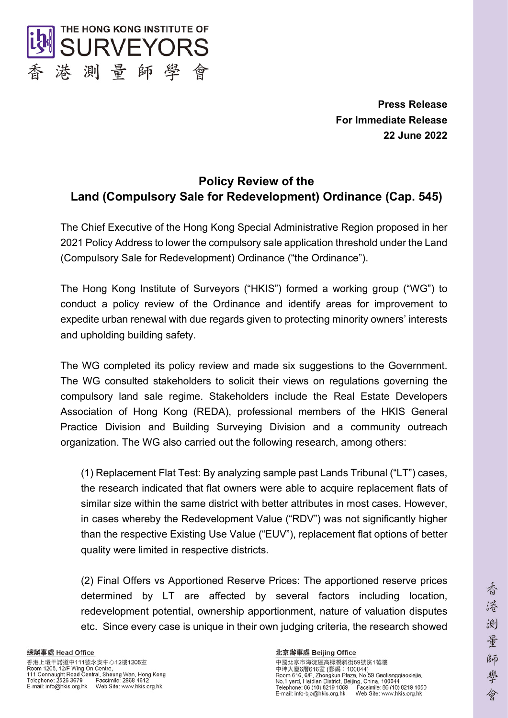

**Press Release For Immediate Release 22 June 2022**

# **Policy Review of the Land (Compulsory Sale for Redevelopment) Ordinance (Cap. 545)**

The Chief Executive of the Hong Kong Special Administrative Region proposed in her 2021 Policy Address to lower the compulsory sale application threshold under the Land (Compulsory Sale for Redevelopment) Ordinance ("the Ordinance").

The Hong Kong Institute of Surveyors ("HKIS") formed a working group ("WG") to conduct a policy review of the Ordinance and identify areas for improvement to expedite urban renewal with due regards given to protecting minority owners' interests and upholding building safety.

The WG completed its policy review and made six suggestions to the Government. The WG consulted stakeholders to solicit their views on regulations governing the compulsory land sale regime. Stakeholders include the Real Estate Developers Association of Hong Kong (REDA), professional members of the HKIS General Practice Division and Building Surveying Division and a community outreach organization. The WG also carried out the following research, among others:

(1) Replacement Flat Test: By analyzing sample past Lands Tribunal ("LT") cases, the research indicated that flat owners were able to acquire replacement flats of similar size within the same district with better attributes in most cases. However, in cases whereby the Redevelopment Value ("RDV") was not significantly higher than the respective Existing Use Value ("EUV"), replacement flat options of better quality were limited in respective districts.

(2) Final Offers vs Apportioned Reserve Prices: The apportioned reserve prices determined by LT are affected by several factors including location, redevelopment potential, ownership apportionment, nature of valuation disputes etc. Since every case is unique in their own judging criteria, the research showed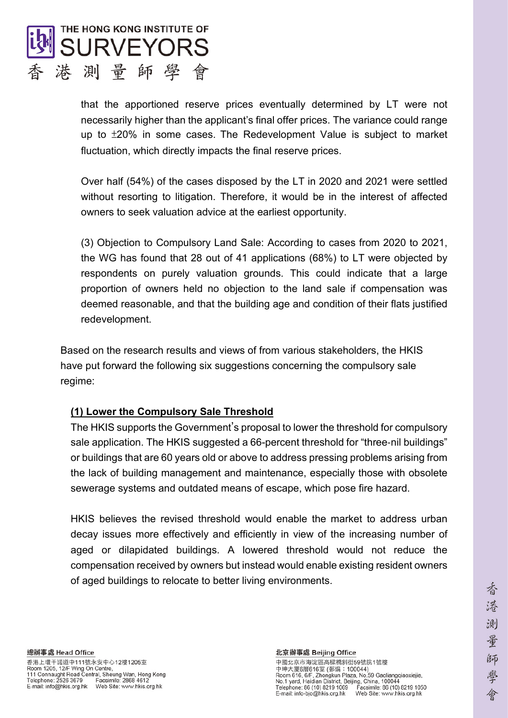

that the apportioned reserve prices eventually determined by LT were not necessarily higher than the applicant's final offer prices. The variance could range up to ±20% in some cases. The Redevelopment Value is subject to market fluctuation, which directly impacts the final reserve prices.

Over half (54%) of the cases disposed by the LT in 2020 and 2021 were settled without resorting to litigation. Therefore, it would be in the interest of affected owners to seek valuation advice at the earliest opportunity.

(3) Objection to Compulsory Land Sale: According to cases from 2020 to 2021, the WG has found that 28 out of 41 applications (68%) to LT were objected by respondents on purely valuation grounds. This could indicate that a large proportion of owners held no objection to the land sale if compensation was deemed reasonable, and that the building age and condition of their flats justified redevelopment.

Based on the research results and views of from various stakeholders, the HKIS have put forward the following six suggestions concerning the compulsory sale regime:

## **(1) Lower the Compulsory Sale Threshold**

The HKIS supports the Government's proposal to lower the threshold for compulsory sale application. The HKIS suggested a 66-percent threshold for "three-nil buildings" or buildings that are 60 years old or above to address pressing problems arising from the lack of building management and maintenance, especially those with obsolete sewerage systems and outdated means of escape, which pose fire hazard.

HKIS believes the revised threshold would enable the market to address urban decay issues more effectively and efficiently in view of the increasing number of aged or dilapidated buildings. A lowered threshold would not reduce the compensation received by owners but instead would enable existing resident owners of aged buildings to relocate to better living environments.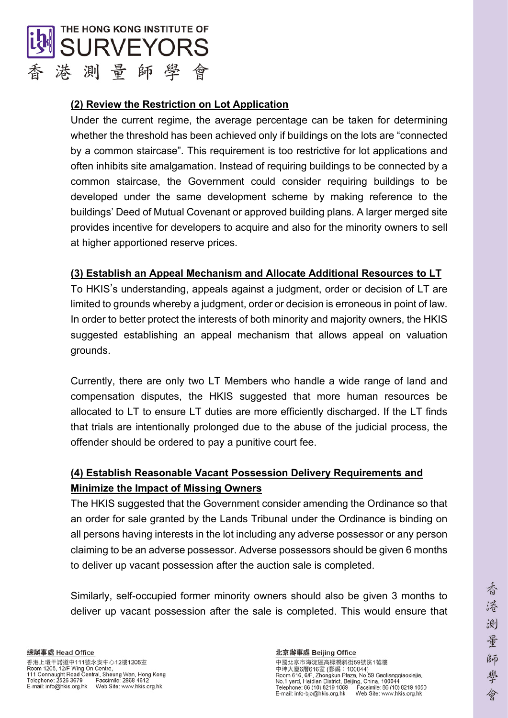

## **(2) Review the Restriction on Lot Application**

Under the current regime, the average percentage can be taken for determining whether the threshold has been achieved only if buildings on the lots are "connected by a common staircase". This requirement is too restrictive for lot applications and often inhibits site amalgamation. Instead of requiring buildings to be connected by a common staircase, the Government could consider requiring buildings to be developed under the same development scheme by making reference to the buildings' Deed of Mutual Covenant or approved building plans. A larger merged site provides incentive for developers to acquire and also for the minority owners to sell at higher apportioned reserve prices.

## **(3) Establish an Appeal Mechanism and Allocate Additional Resources to LT**

To HKIS's understanding, appeals against a judgment, order or decision of LT are limited to grounds whereby a judgment, order or decision is erroneous in point of law. In order to better protect the interests of both minority and majority owners, the HKIS suggested establishing an appeal mechanism that allows appeal on valuation grounds.

Currently, there are only two LT Members who handle a wide range of land and compensation disputes, the HKIS suggested that more human resources be allocated to LT to ensure LT duties are more efficiently discharged. If the LT finds that trials are intentionally prolonged due to the abuse of the judicial process, the offender should be ordered to pay a punitive court fee.

## **(4) Establish Reasonable Vacant Possession Delivery Requirements and Minimize the Impact of Missing Owners**

The HKIS suggested that the Government consider amending the Ordinance so that an order for sale granted by the Lands Tribunal under the Ordinance is binding on all persons having interests in the lot including any adverse possessor or any person claiming to be an adverse possessor. Adverse possessors should be given 6 months to deliver up vacant possession after the auction sale is completed.

Similarly, self-occupied former minority owners should also be given 3 months to deliver up vacant possession after the sale is completed. This would ensure that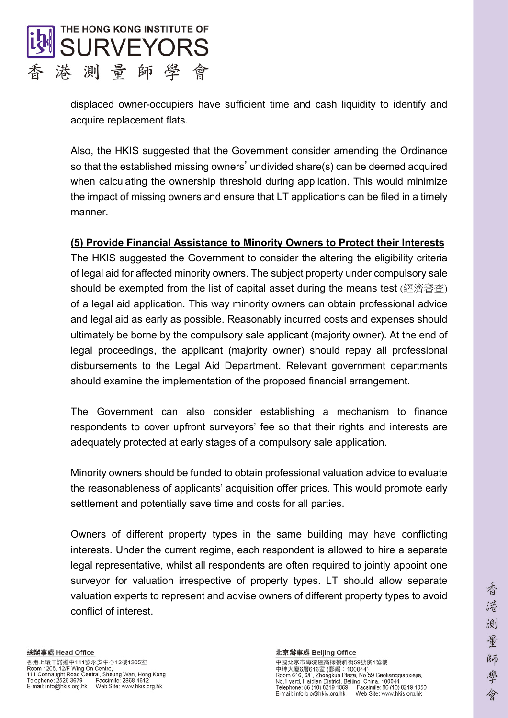

displaced owner-occupiers have sufficient time and cash liquidity to identify and acquire replacement flats.

Also, the HKIS suggested that the Government consider amending the Ordinance so that the established missing owners' undivided share(s) can be deemed acquired when calculating the ownership threshold during application. This would minimize the impact of missing owners and ensure that LT applications can be filed in a timely manner.

## **(5) Provide Financial Assistance to Minority Owners to Protect their Interests**

The HKIS suggested the Government to consider the altering the eligibility criteria of legal aid for affected minority owners. The subject property under compulsory sale should be exempted from the list of capital asset during the means test (經濟審查) of a legal aid application. This way minority owners can obtain professional advice and legal aid as early as possible. Reasonably incurred costs and expenses should ultimately be borne by the compulsory sale applicant (majority owner). At the end of legal proceedings, the applicant (majority owner) should repay all professional disbursements to the Legal Aid Department. Relevant government departments should examine the implementation of the proposed financial arrangement.

The Government can also consider establishing a mechanism to finance respondents to cover upfront surveyors' fee so that their rights and interests are adequately protected at early stages of a compulsory sale application.

Minority owners should be funded to obtain professional valuation advice to evaluate the reasonableness of applicants' acquisition offer prices. This would promote early settlement and potentially save time and costs for all parties.

Owners of different property types in the same building may have conflicting interests. Under the current regime, each respondent is allowed to hire a separate legal representative, whilst all respondents are often required to jointly appoint one surveyor for valuation irrespective of property types. LT should allow separate valuation experts to represent and advise owners of different property types to avoid conflict of interest.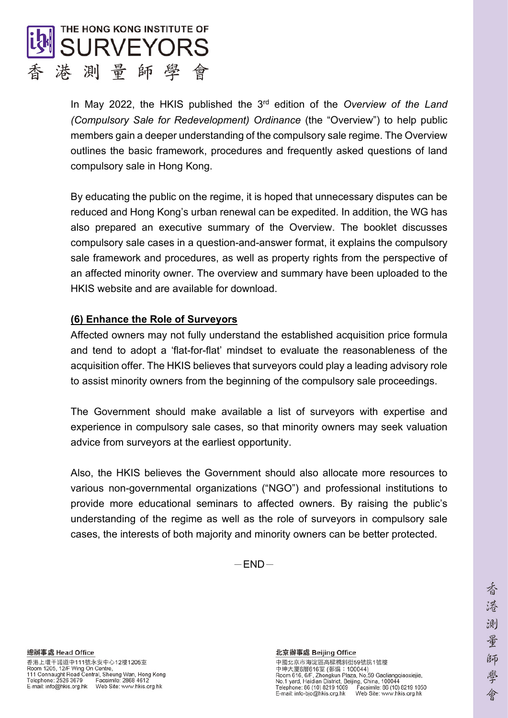

In May 2022, the HKIS published the 3rd edition of the *Overview of the Land (Compulsory Sale for Redevelopment) Ordinance* (the "Overview") to help public members gain a deeper understanding of the compulsory sale regime. The Overview outlines the basic framework, procedures and frequently asked questions of land compulsory sale in Hong Kong.

By educating the public on the regime, it is hoped that unnecessary disputes can be reduced and Hong Kong's urban renewal can be expedited. In addition, the WG has also prepared an executive summary of the Overview. The booklet discusses compulsory sale cases in a question-and-answer format, it explains the compulsory sale framework and procedures, as well as property rights from the perspective of an affected minority owner. The overview and summary have been uploaded to the HKIS website and are available for download.

### **(6) Enhance the Role of Surveyors**

Affected owners may not fully understand the established acquisition price formula and tend to adopt a 'flat-for-flat' mindset to evaluate the reasonableness of the acquisition offer. The HKIS believes that surveyors could play a leading advisory role to assist minority owners from the beginning of the compulsory sale proceedings.

The Government should make available a list of surveyors with expertise and experience in compulsory sale cases, so that minority owners may seek valuation advice from surveyors at the earliest opportunity.

Also, the HKIS believes the Government should also allocate more resources to various non-governmental organizations ("NGO") and professional institutions to provide more educational seminars to affected owners. By raising the public's understanding of the regime as well as the role of surveyors in compulsory sale cases, the interests of both majority and minority owners can be better protected.

 $-END-$